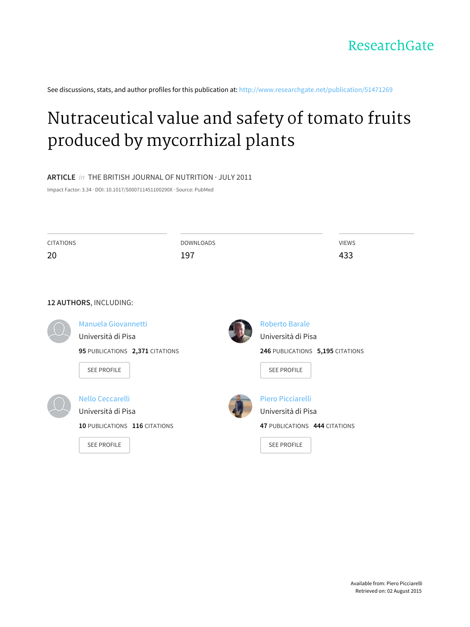See discussions, stats, and author profiles for this publication at: [http://www.researchgate.net/publication/51471269](http://www.researchgate.net/publication/51471269_Nutraceutical_value_and_safety_of_tomato_fruits_produced_by_mycorrhizal_plants?enrichId=rgreq-891eee42-0c62-4f5c-b35c-092ee3061b5f&enrichSource=Y292ZXJQYWdlOzUxNDcxMjY5O0FTOjEwNDkzMDc2OTYzNzM3OEAxNDAyMDI4ODUzNTMy&el=1_x_2)

# [Nutraceutical](http://www.researchgate.net/publication/51471269_Nutraceutical_value_and_safety_of_tomato_fruits_produced_by_mycorrhizal_plants?enrichId=rgreq-891eee42-0c62-4f5c-b35c-092ee3061b5f&enrichSource=Y292ZXJQYWdlOzUxNDcxMjY5O0FTOjEwNDkzMDc2OTYzNzM3OEAxNDAyMDI4ODUzNTMy&el=1_x_3) value and safety of tomato fruits produced by mycorrhizal plants

# **ARTICLE** in THE BRITISH JOURNAL OF NUTRITION · JULY 2011

Impact Factor: 3.34 · DOI: 10.1017/S000711451100290X · Source: PubMed

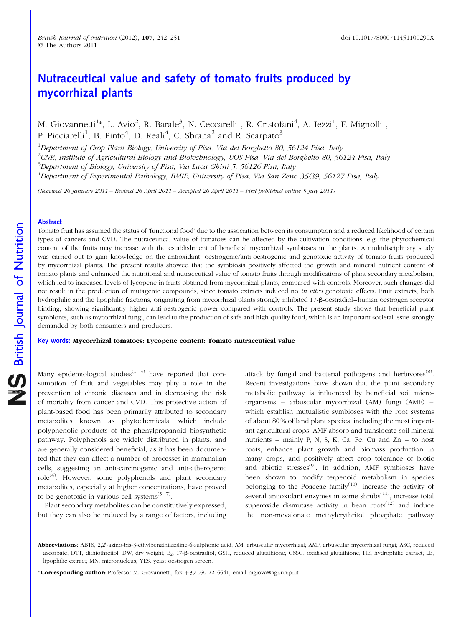# Nutraceutical value and safety of tomato fruits produced by mycorrhizal plants

M. Giovannetti<sup>1</sup>\*, L. Avio<sup>2</sup>, R. Barale<sup>3</sup>, N. Ceccarelli<sup>1</sup>, R. Cristofani<sup>4</sup>, A. Iezzi<sup>1</sup>, F. Mignolli<sup>1</sup>, P. Picciarelli<sup>1</sup>, B. Pinto<sup>4</sup>, D. Reali<sup>4</sup>, C. Sbrana<sup>2</sup> and R. Scarpato<sup>3</sup>

<sup>1</sup>Department of Crop Plant Biology, University of Pisa, Via del Borghetto 80, 56124 Pisa, Italy  $^2$ CNR, Institute of Agricultural Biology and Biotechnology, UOS Pisa, Via del Borghetto 80, 56124 Pisa, Italy <sup>3</sup>Department of Biology, University of Pisa, Via Luca Ghini 5, 56126 Pisa, Italy <sup>4</sup>Department of Experimental Pathology, BMIE, University of Pisa, Via San Zeno 35/39, 56127 Pisa, Italy

(Received 26 January 2011 – Revised 26 April 2011 – Accepted 26 April 2011 – First published online 5 July 2011)

# Abstract

Tomato fruit has assumed the status of 'functional food' due to the association between its consumption and a reduced likelihood of certain types of cancers and CVD. The nutraceutical value of tomatoes can be affected by the cultivation conditions, e.g. the phytochemical content of the fruits may increase with the establishment of beneficial mycorrhizal symbioses in the plants. A multidisciplinary study was carried out to gain knowledge on the antioxidant, oestrogenic/anti-oestrogenic and genotoxic activity of tomato fruits produced by mycorrhizal plants. The present results showed that the symbiosis positively affected the growth and mineral nutrient content of tomato plants and enhanced the nutritional and nutraceutical value of tomato fruits through modifications of plant secondary metabolism, which led to increased levels of lycopene in fruits obtained from mycorrhizal plants, compared with controls. Moreover, such changes did not result in the production of mutagenic compounds, since tomato extracts induced no in vitro genotoxic effects. Fruit extracts, both hydrophilic and the lipophilic fractions, originating from mycorrhizal plants strongly inhibited 17-b-oestradiol–human oestrogen receptor binding, showing significantly higher anti-oestrogenic power compared with controls. The present study shows that beneficial plant symbionts, such as mycorrhizal fungi, can lead to the production of safe and high-quality food, which is an important societal issue strongly demanded by both consumers and producers.

#### Key words: Mycorrhizal tomatoes: Lycopene content: Tomato nutraceutical value

Many epidemiological studies<sup> $(1-3)$ </sup> have reported that consumption of fruit and vegetables may play a role in the prevention of chronic diseases and in decreasing the risk of mortality from cancer and CVD. This protective action of plant-based food has been primarily attributed to secondary metabolites known as phytochemicals, which include polyphenolic products of the phenylpropanoid biosynthetic pathway. Polyphenols are widely distributed in plants, and are generally considered beneficial, as it has been documented that they can affect a number of processes in mammalian cells, suggesting an anti-carcinogenic and anti-atherogenic  $role<sup>(4)</sup>$ . However, some polyphenols and plant secondary metabolites, especially at higher concentrations, have proved to be genotoxic in various cell systems<sup> $(5-7)$ </sup>.

Plant secondary metabolites can be constitutively expressed, but they can also be induced by a range of factors, including

attack by fungal and bacterial pathogens and herbivores<sup>(8)</sup>. Recent investigations have shown that the plant secondary metabolic pathway is influenced by beneficial soil microorganisms – arbuscular mycorrhizal (AM) fungi (AMF) – which establish mutualistic symbioses with the root systems of about 80 % of land plant species, including the most important agricultural crops. AMF absorb and translocate soil mineral nutrients – mainly P, N, S, K, Ca, Fe, Cu and Zn – to host roots, enhance plant growth and biomass production in many crops, and positively affect crop tolerance of biotic and abiotic stresses<sup>(9)</sup>. In addition, AMF symbioses have been shown to modify terpenoid metabolism in species belonging to the Poaceae family<sup>(10)</sup>, increase the activity of several antioxidant enzymes in some shrubs $(11)$ , increase total superoxide dismutase activity in bean  $roots^{(12)}$  and induce the non-mevalonate methylerythritol phosphate pathway

Abbreviations: ABTS, 2,2'-azino-bis-3-ethylbenzthiazoline-6-sulphonic acid; AM, arbuscular mycorrhizal; AMF, arbuscular mycorrhizal fungi; ASC, reduced ascorbate; DTT, dithiothreitol; DW, dry weight; E<sub>2</sub>, 17-B-oestradiol; GSH, reduced glutathione; GSSG, oxidised glutathione; HE, hydrophilic extract; LE, lipophilic extract; MN, micronucleus; YES, yeast oestrogen screen.

<sup>\*</sup> **Corresponding author:** Professor M. Giovannetti, fax  $+39\,050\,2216641$ , email mgiova@agr.unipi.it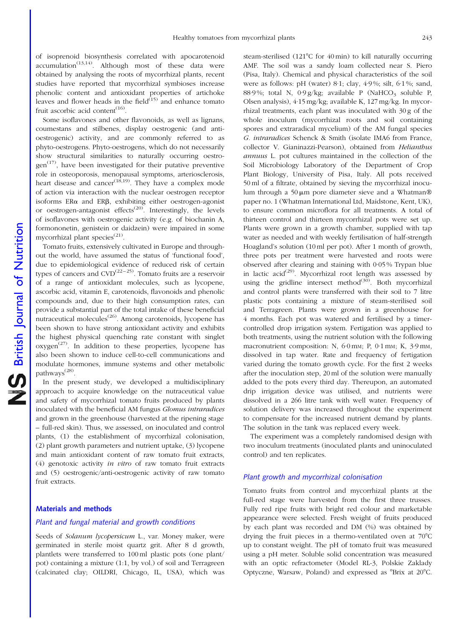of isoprenoid biosynthesis correlated with apocarotenoid  $accumulation^{(13,14)}$ . Although most of these data were obtained by analysing the roots of mycorrhizal plants, recent studies have reported that mycorrhizal symbioses increase phenolic content and antioxidant properties of artichoke leaves and flower heads in the field $\hat{C}^{(15)}$  and enhance tomato fruit ascorbic acid content<sup> $(16)$ </sup>.

Some isoflavones and other flavonoids, as well as lignans, coumestans and stilbenes, display oestrogenic (and antioestrogenic) activity, and are commonly referred to as phyto-oestrogens. Phyto-oestrogens, which do not necessarily show structural similarities to naturally occurring oestro $gen^{(17)}$ , have been investigated for their putative preventive role in osteoporosis, menopausal symptoms, arteriosclerosis, heart disease and cancer<sup> $(18,19)$ </sup>. They have a complex mode of action via interaction with the nuclear oestrogen receptor isoforms  $ER\alpha$  and  $ER\beta$ , exhibiting either oestrogen-agonist or oestrogen-antagonist effects<sup> $(20)$ </sup>. Interestingly, the levels of isoflavones with oestrogenic activity (e.g. of biochanin A, formononetin, genistein or daidzein) were impaired in some mycorrhizal plant species<sup>(21)</sup>.

Tomato fruits, extensively cultivated in Europe and throughout the world, have assumed the status of 'functional food', due to epidemiological evidence of reduced risk of certain types of cancers and  $CVD^{(22-25)}$ . Tomato fruits are a reservoir of a range of antioxidant molecules, such as lycopene, ascorbic acid, vitamin E, carotenoids, flavonoids and phenolic compounds and, due to their high consumption rates, can provide a substantial part of the total intake of these beneficial nutraceutical molecules<sup> $(26)$ </sup>. Among carotenoids, lycopene has been shown to have strong antioxidant activity and exhibits the highest physical quenching rate constant with singlet  $oxygen<sup>(27)</sup>$ . In addition to these properties, lycopene has also been shown to induce cell-to-cell communications and modulate hormones, immune systems and other metabolic pathways(28).

In the present study, we developed a multidisciplinary approach to acquire knowledge on the nutraceutical value and safety of mycorrhizal tomato fruits produced by plants inoculated with the beneficial AM fungus Glomus intraradices and grown in the greenhouse (harvested at the ripening stage – full-red skin). Thus, we assessed, on inoculated and control plants, (1) the establishment of mycorrhizal colonisation, (2) plant growth parameters and nutrient uptake, (3) lycopene and main antioxidant content of raw tomato fruit extracts, (4) genotoxic activity in vitro of raw tomato fruit extracts and (5) oestrogenic/anti-oestrogenic activity of raw tomato fruit extracts.

# Materials and methods

# Plant and fungal material and growth conditions

Seeds of Solanum lycopersicum L., var. Money maker, were germinated in sterile moist quartz grit. After 8 d growth, plantlets were transferred to 100 ml plastic pots (one plant/ pot) containing a mixture (1:1, by vol.) of soil and Terragreen (calcinated clay; OILDRI, Chicago, IL, USA), which was

steam-sterilised (121°C for 40 min) to kill naturally occurring AMF. The soil was a sandy loam collected near S. Piero (Pisa, Italy). Chemical and physical characteristics of the soil were as follows: pH (water) 8·1; clay, 4·9 %; silt, 6·1 %; sand, 88.9%; total N,  $0.9g/kg$ ; available P (NaHCO<sub>3</sub> soluble P, Olsen analysis), 4·15 mg/kg; available K, 127 mg/kg. In mycorrhizal treatments, each plant was inoculated with 30 g of the whole inoculum (mycorrhizal roots and soil containing spores and extraradical mycelium) of the AM fungal species G. intraradices Schenck & Smith (isolate IMA6 from France, collector V. Gianinazzi-Pearson), obtained from Helianthus annuus L. pot cultures maintained in the collection of the Soil Microbiology Laboratory of the Department of Crop Plant Biology, University of Pisa, Italy. All pots received 50 ml of a filtrate, obtained by sieving the mycorrhizal inoculum through a 50  $\mu$ m pore diameter sieve and a Whatman® paper no. 1 (Whatman International Ltd, Maidstone, Kent, UK), to ensure common microflora for all treatments. A total of thirteen control and thirteen mycorrhizal pots were set up. Plants were grown in a growth chamber, supplied with tap water as needed and with weekly fertilisation of half-strength Hoagland's solution (10 ml per pot). After 1 month of growth, three pots per treatment were harvested and roots were observed after clearing and staining with 0·05 % Trypan blue in lactic acid<sup>(29)</sup>. Mycorrhizal root length was assessed by using the gridline intersect method $(30)$ . Both mycorrhizal and control plants were transferred with their soil to 7 litre plastic pots containing a mixture of steam-sterilised soil and Terragreen. Plants were grown in a greenhouse for 4 months. Each pot was watered and fertilised by a timercontrolled drop irrigation system. Fertigation was applied to both treatments, using the nutrient solution with the following macronutrient composition: N,  $6.0$  mm; P,  $0.1$  mm; K,  $3.9$  mm, dissolved in tap water. Rate and frequency of fertigation varied during the tomato growth cycle. For the first 2 weeks after the inoculation step, 20 ml of the solution were manually added to the pots every third day. Thereupon, an automated drip irrigation device was utilised, and nutrients were dissolved in a 266 litre tank with well water. Frequency of solution delivery was increased throughout the experiment to compensate for the increased nutrient demand by plants. The solution in the tank was replaced every week.

The experiment was a completely randomised design with two inoculum treatments (inoculated plants and uninoculated control) and ten replicates.

# Plant growth and mycorrhizal colonisation

Tomato fruits from control and mycorrhizal plants at the full-red stage were harvested from the first three trusses. Fully red ripe fruits with bright red colour and marketable appearance were selected. Fresh weight of fruits produced by each plant was recorded and DM (%) was obtained by drying the fruit pieces in a thermo-ventilated oven at  $70^{\circ}$ C up to constant weight. The pH of tomato fruit was measured using a pH meter. Soluble solid concentration was measured with an optic refractometer (Model RL-3, Polskie Zaklady Optyczne, Warsaw, Poland) and expressed as °Brix at 20°C.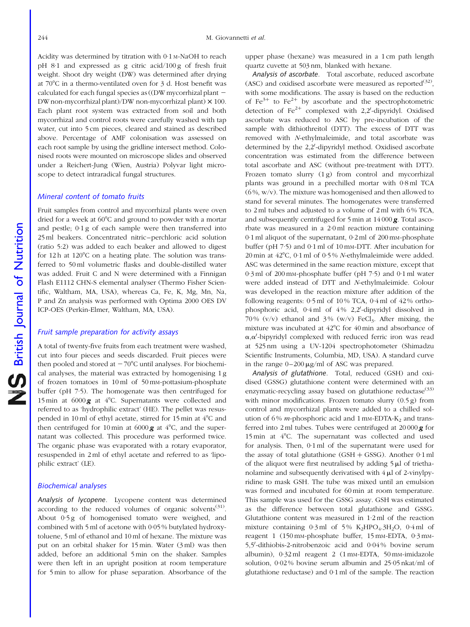Acidity was determined by titration with 0·1 M-NaOH to reach pH 8·1 and expressed as g citric acid/100 g of fresh fruit weight. Shoot dry weight (DW) was determined after drying at  $70^{\circ}$ C in a thermo-ventilated oven for 3 d. Host benefit was calculated for each fungal species as ((DW mycorrhizal plant -DWnon-mycorrhizal plant)/DW non-mycorrhizal plant) *£* 100. Each plant root system was extracted from soil and both mycorrhizal and control roots were carefully washed with tap water, cut into 5 cm pieces, cleared and stained as described above. Percentage of AMF colonisation was assessed on each root sample by using the gridline intersect method. Colonised roots were mounted on microscope slides and observed under a Reichert-Jung (Wien, Austria) Polyvar light microscope to detect intraradical fungal structures.

# Mineral content of tomato fruits

Fruit samples from control and mycorrhizal plants were oven dried for a week at  $60^{\circ}$ C and ground to powder with a mortar and pestle; 0·1 g of each sample were then transferred into 25 ml beakers. Concentrated nitric–perchloric acid solution (ratio 5:2) was added to each beaker and allowed to digest for  $12 h$  at  $120^{\circ}$ C on a heating plate. The solution was transferred to 50 ml volumetric flasks and double-distilled water was added. Fruit C and N were determined with a Finnigan Flash E1112 CHN-S elemental analyser (Thermo Fisher Scientific, Waltham, MA, USA), whereas Ca, Fe, K, Mg, Mn, Na, P and Zn analysis was performed with Optima 2000 OES DV ICP-OES (Perkin-Elmer, Waltham, MA, USA).

# Fruit sample preparation for activity assays

A total of twenty-five fruits from each treatment were washed, cut into four pieces and seeds discarded. Fruit pieces were then pooled and stored at  $-70^{\circ}$ C until analyses. For biochemical analyses, the material was extracted by homogenising 1 g of frozen tomatoes in 10 ml of 50 mM-pottasium-phosphate buffer (pH 7·5). The homogenate was then centrifuged for 15 min at  $6000\,\text{g}$  at 4°C. Supernatants were collected and referred to as 'hydrophilic extract' (HE). The pellet was resuspended in 10 ml of ethyl acetate, stirred for 15 min at 4°C and then centrifuged for 10 min at  $6000\,\text{g}$  at  $4^{\circ}\text{C}$ , and the supernatant was collected. This procedure was performed twice. The organic phase was evaporated with a rotary evaporator, resuspended in 2 ml of ethyl acetate and referred to as 'lipophilic extract' (LE).

# Biochemical analyses

Analysis of lycopene. Lycopene content was determined according to the reduced volumes of organic solvents $(31)$ . About 0·5 g of homogenised tomato were weighed, and combined with 5 ml of acetone with 0·05 % butylated hydroxytoluene, 5 ml of ethanol and 10 ml of hexane. The mixture was put on an orbital shaker for 15 min. Water (3 ml) was then added, before an additional 5 min on the shaker. Samples were then left in an upright position at room temperature for 5 min to allow for phase separation. Absorbance of the upper phase (hexane) was measured in a 1 cm path length quartz cuvette at 503 nm, blanked with hexane.

Analysis of ascorbate. Total ascorbate, reduced ascorbate (ASC) and oxidised ascorbate were measured as reported<sup>(32)</sup>, with some modifications. The assay is based on the reduction of  $Fe^{3+}$  to  $Fe^{2+}$  by ascorbate and the spectrophotometric detection of  $\text{Fe}^{2+}$  complexed with 2,2'-dipyridyl. Oxidised ascorbate was reduced to ASC by pre-incubation of the sample with dithiothreitol (DTT). The excess of DTT was removed with N-ethylmaleimide, and total ascorbate was determined by the 2,2'-dipyridyl method. Oxidised ascorbate concentration was estimated from the difference between total ascorbate and ASC (without pre-treatment with DTT). Frozen tomato slurry (1g) from control and mycorrhizal plants was ground in a prechilled mortar with 0·8 ml TCA  $(6\%, w/v)$ . The mixture was homogenised and then allowed to stand for several minutes. The homogenates were transferred to 2 ml tubes and adjusted to a volume of 2 ml with 6 % TCA, and subsequently centrifuged for 5 min at 14 000 g. Total ascorbate was measured in a 2·0 ml reaction mixture containing  $0.1$  ml aliquot of the supernatant,  $0.2$  ml of 200 mm-phosphate buffer (pH 7·5) and 0·1 ml of 10 mM-DTT. After incubation for 20 min at  $42^{\circ}$ C, 0·1 ml of 0·5% N-ethylmaleimide were added. ASC was determined in the same reaction mixture, except that 0·3 ml of 200 mM-phosphate buffer (pH 7·5) and 0·1 ml water were added instead of DTT and N-ethylmaleimide. Colour was developed in the reaction mixture after addition of the following reagents:  $0.5$  ml of  $10\%$  TCA,  $0.4$  ml of  $42\%$  orthophosphoric acid, 0.4 ml of 4% 2,2'-dipyridyl dissolved in 70%  $(v/v)$  ethanol and 3%  $(w/v)$  FeCl<sub>3</sub>. After mixing, the mixture was incubated at  $42^{\circ}$ C for  $40$  min and absorbance of  $\alpha, \alpha'$ -bipyridyl complexed with reduced ferric iron was read at 525 nm using a UV-1204 spectrophotometer (Shimadzu Scientific Instruments, Columbia, MD, USA). A standard curve in the range  $0-200 \mu g/ml$  of ASC was prepared.

Analysis of glutathione. Total, reduced (GSH) and oxidised (GSSG) glutathione content were determined with an enzymatic-recycling assay based on glutathione reductase<sup>(33)</sup> with minor modifications. Frozen tomato slurry (0.5 g) from control and mycorrhizal plants were added to a chilled solution of 6% *m*-phosphoric acid and 1 mm-EDTA- $K_2$  and transferred into 2 ml tubes. Tubes were centrifuged at  $20000\mathbf{g}$  for 15 min at  $4^{\circ}$ C. The supernatant was collected and used for analysis. Then, 0·1 ml of the supernatant were used for the assay of total glutathione (GSH  $+$  GSSG). Another 0·1 ml of the aliquot were first neutralised by adding  $5 \mu$ l of triethanolamine and subsequently derivatised with  $4 \mu$ l of 2-vinylpyridine to mask GSH. The tube was mixed until an emulsion was formed and incubated for 60 min at room temperature. This sample was used for the GSSG assay. GSH was estimated as the difference between total glutathione and GSSG. Glutathione content was measured in 1·2 ml of the reaction mixture containing  $0.3$  ml of 5% K<sub>2</sub>HPO<sub>4</sub>.3H<sub>2</sub>O,  $0.4$  ml of reagent 1 (150 mM-phosphate buffer, 15 mM-EDTA, 0·3 mM-5,5'-dithiobis-2-nitrobenzoic acid and 0.04% bovine serum albumin), 0·32 ml reagent 2 (1 mM-EDTA, 50 mM-imidazole solution, 0·02 % bovine serum albumin and 25·05 nkat/ml of glutathione reductase) and 0·1 ml of the sample. The reaction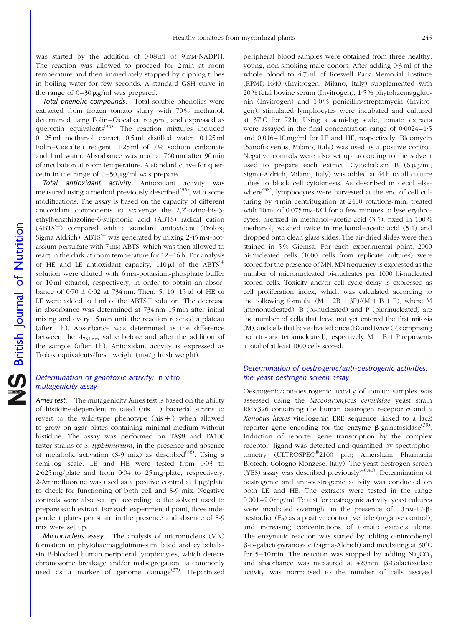was started by the addition of 0.08 ml of 9 mm-NADPH. The reaction was allowed to proceed for 2 min at room temperature and then immediately stopped by dipping tubes in boiling water for few seconds. A standard GSH curve in the range of  $0-30 \mu g/ml$  was prepared.

Total phenolic compounds. Total soluble phenolics were extracted from frozen tomato slurry with 70% methanol, determined using Folin–Ciocalteu reagent, and expressed as quercetin equivalents<sup>(34)</sup>. The reaction mixtures included 0·125 ml methanol extract, 0·5 ml distilled water, 0·125 ml Folin–Ciocalteu reagent, 1·25 ml of 7 % sodium carbonate and 1 ml water. Absorbance was read at 760 nm after 90 min of incubation at room temperature. A standard curve for quercetin in the range of  $0-50 \mu g/ml$  was prepared.

Total antioxidant activity. Antioxidant activity was measured using a method previously described $(35)$ , with some modifications. The assay is based on the capacity of different antioxidant components to scavenge the  $2,2'$ -azino-bis-3ethylbenzthiazoline-6-sulphonic acid (ABTS) radical cation  $(ABTS<sup>+</sup>)$  compared with a standard antioxidant (Trolox; Sigma Aldrich).  $ABTS^+$  was generated by mixing 2.45 mm-potassium persulfate with 7 mM-ABTS, which was then allowed to react in the dark at room temperature for 12–16 h. For analysis of HE and LE antioxidant capacity,  $110 \mu l$  of the ABTS<sup>+</sup> solution were diluted with 6 mM-pottasium-phosphate buffer or 10 ml ethanol, respectively, in order to obtain an absorbance of  $0.70 \pm 0.02$  at 734 nm. Then, 5, 10, 15  $\mu$ l of HE or LE were added to 1 ml of the  $ABTS^+$  solution. The decrease in absorbance was determined at 734 nm 15 min after initial mixing and every 15 min until the reaction reached a plateau (after 1 h). Absorbance was determined as the difference between the  $A_{734 \text{ nm}}$  value before and after the addition of the sample (after 1 h). Antioxidant activity is expressed as Trolox equivalents/fresh weight (mM/g fresh weight).

# Determination of genotoxic activity: in vitro mutagenicity assay

Ames test. The mutagenicity Ames test is based on the ability of histidine-dependent mutated (his  $-$  ) bacterial strains to revert to the wild-type phenotype  $(his +)$  when allowed to grow on agar plates containing minimal medium without histidine. The assay was performed on TA98 and TA100 tester strains of S. typhimurium, in the presence and absence of metabolic activation (S-9 mix) as described<sup>(36)</sup>. Using a semi-log scale, LE and HE were tested from 0·03 to 2·625 mg/plate and from 0·04 to 25 mg/plate, respectively. 2-Aminofluorene was used as a positive control at  $1 \mu g$ /plate to check for functioning of both cell and S-9 mix. Negative controls were also set up, according to the solvent used to prepare each extract. For each experimental point, three independent plates per strain in the presence and absence of S-9 mix were set up.

Micronucleus assay. The analysis of micronucleus (MN) formation in phytohaemagglutinin-stimulated and cytochalasin B-blocked human peripheral lymphocytes, which detects chromosome breakage and/or malsegregation, is commonly used as a marker of genome damage<sup>(37)</sup>. Heparinised

peripheral blood samples were obtained from three healthy, young, non-smoking male donors. After adding 0·3 ml of the whole blood to 4·7 ml of Roswell Park Memorial Institute (RPMI)-1640 (Invitrogen, Milano, Italy) supplemented with 20 % fetal bovine serum (Invitrogen), 1·5 % phytohaemagglutinin (Invitrogen) and 1·0 % penicillin/streptomycin (Invitrogen), stimulated lymphocytes were incubated and cultured at 378C for 72 h. Using a semi-log scale, tomato extracts were assayed in the final concentration range of 0·0024–1·5 and 0·016–10 mg/ml for LE and HE, respectively. Bleomycin (Sanofi-aventis, Milano, Italy) was used as a positive control. Negative controls were also set up, according to the solvent used to prepare each extract. Cytochalasin B  $(6 \mu g/ml;$ Sigma-Aldrich, Milano, Italy) was added at 44 h to all culture tubes to block cell cytokinesis. As described in detail elsewhere<sup>(38)</sup>, lymphocytes were harvested at the end of cell culturing by 4 min centrifugation at 2400 rotations/min, treated with 10 ml of 0.075 mm-KCl for a few minutes to lyse erythrocytes, prefixed in methanol–acetic acid (3:5), fixed in 100 % methanol, washed twice in methanol–acetic acid (5:1) and dropped onto clean glass slides. The air-dried slides were then stained in 5 % Giemsa. For each experimental point, 2000 bi-nucleated cells (1000 cells from replicate cultures) were scored for the presence of MN. MN frequency is expressed as the number of micronucleated bi-nucleates per 1000 bi-nucleated scored cells. Toxicity and/or cell cycle delay is expressed as cell proliferation index, which was calculated according to the following formula:  $(M + 2B + 3P)/(M + B + P)$ , where M (mononucleated), B (bi-nucleated) and P (plurinucleated) are the number of cells that have not yet entered the first mitosis (M), and cells that have divided once (B) and twice (P, comprising both tri- and tetranucleated), respectively.  $M + B + P$  represents a total of at least 1000 cells scored.

# Determination of oestrogenic/anti-oestrogenic activities: the yeast oestrogen screen assay

Oestrogenic/anti-oestrogenic activity of tomato samples was assessed using the Saccharomyces cerevisiae yeast strain RMY326 containing the human oestrogen receptor  $\alpha$  and a Xenopus laevis vitellogenin ERE sequence linked to a lacZ reporter gene encoding for the enzyme  $\beta$ -galactosidase<sup>(39)</sup>. Induction of reporter gene transcription by the complex receptor–ligand was detected and quantified by spectrophotometry (ULTROSPEC®2100 pro; Amersham Pharmacia Biotech, Cologno Monzese, Italy). The yeast oestrogen screen (YES) assay was described previously $(40,41)$ . Determination of oestrogenic and anti-oestrogenic activity was conducted on both LE and HE. The extracts were tested in the range 0·001–2·0 mg/ml. To test for oestrogenic activity, yeast cultures were incubated overnight in the presence of  $10 \text{ nm}$ -17- $\beta$ oestradiol  $(E_2)$  as a positive control, vehicle (negative control), and increasing concentrations of tomato extracts alone. The enzymatic reaction was started by adding o-nitrophenyl  $\beta$ -D-galactopyranoside (Sigma-Aldrich) and incubating at 30 $\degree$ C for 5–10 min. The reaction was stopped by adding  $Na_2CO_3$ and absorbance was measured at 420 nm.  $\beta$ -Galactosidase activity was normalised to the number of cells assayed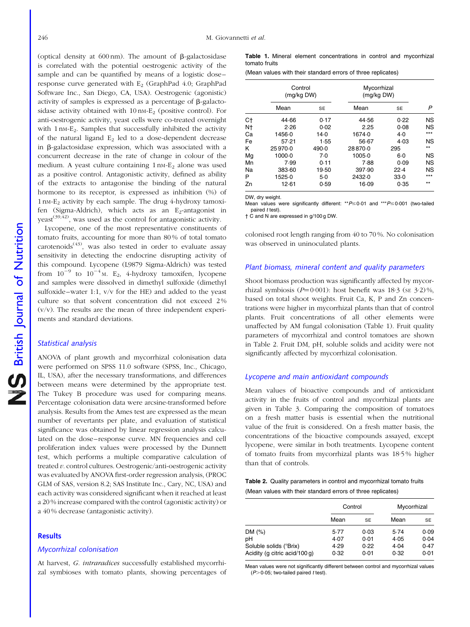(optical density at 600 nm). The amount of b-galactosidase is correlated with the potential oestrogenic activity of the sample and can be quantified by means of a logistic dose– response curve generated with  $E_2$  (GraphPad 4.0; GraphPad Software Inc., San Diego, CA, USA). Oestrogenic (agonistic) activity of samples is expressed as a percentage of  $\beta$ -galactosidase activity obtained with  $10 \text{ nm-E}_2$  (positive control). For anti-oestrogenic activity, yeast cells were co-treated overnight with 1 nm-E<sub>2</sub>. Samples that successfully inhibited the activity of the natural ligand  $E_2$  led to a dose-dependent decrease in  $\beta$ -galactosidase expression, which was associated with a concurrent decrease in the rate of change in colour of the medium. A yeast culture containing  $1 \text{ nm-E}_2$  alone was used as a positive control. Antagonistic activity, defined as ability of the extracts to antagonise the binding of the natural hormone to its receptor, is expressed as inhibition (%) of 1 nM-E2 activity by each sample. The drug 4-hydroxy tamoxifen (Sigma-Aldrich), which acts as an E<sub>2</sub>-antagonist in  $y$ east<sup>(39,42)</sup>, was used as the control for antagonistic activity.

Lycopene, one of the most representative constituents of tomato fruits, accounting for more than 80 % of total tomato carotenoids<sup> $(43)$ </sup>, was also tested in order to evaluate assay sensitivity in detecting the endocrine disrupting activity of this compound. Lycopene (L9879 Sigma-Aldrich) was tested from  $10^{-9}$  to  $10^{-4}$  M. E<sub>2</sub>, 4-hydroxy tamoxifen, lycopene and samples were dissolved in dimethyl sulfoxide (dimethyl sulfoxide–water 1:1, v/v for the HE) and added to the yeast culture so that solvent concentration did not exceed 2%  $(v/v)$ . The results are the mean of three independent experiments and standard deviations.

# Statistical analysis

ANOVA of plant growth and mycorrhizal colonisation data were performed on SPSS 11.0 software (SPSS, Inc., Chicago, IL, USA), after the necessary transformations, and differences between means were determined by the appropriate test. The Tukey B procedure was used for comparing means. Percentage colonisation data were arcsine-transformed before analysis. Results from the Ames test are expressed as the mean number of revertants per plate, and evaluation of statistical significance was obtained by linear regression analysis calculated on the dose–response curve. MN frequencies and cell proliferation index values were processed by the Dunnett test, which performs a multiple comparative calculation of treated v. control cultures. Oestrogenic/anti-oestrogenic activity was evaluated by ANOVA first-order regression analysis, (PROC GLM of SAS, version 8.2; SAS Institute Inc., Cary, NC, USA) and each activity was considered significant when it reached at least a 20 % increase compared with the control (agonistic activity) or a 40 % decrease (antagonistic activity).

## Results

#### Mycorrhizal colonisation

At harvest, G. intraradices successfully established mycorrhizal symbioses with tomato plants, showing percentages of Table 1. Mineral element concentrations in control and mycorrhizal tomato fruits

(Mean values with their standard errors of three replicates)

|    | Control<br>(mg/kg DW) |        | Mycorrhizal<br>(mg/kg DW) |       |           |
|----|-----------------------|--------|---------------------------|-------|-----------|
|    | Mean                  | SE     | Mean                      | SE    | P         |
| C† | 44.66                 | 0.17   | 44.56                     | 0.22  | <b>NS</b> |
| Nt | 2.26                  | 0.02   | 2.25                      | 0.08  | <b>NS</b> |
| Ca | 1456.0                | $14-0$ | 1674.0                    | $4-0$ | ***       |
| Fe | 57.21                 | 1.55   | $56-67$                   | 4.03  | <b>NS</b> |
| κ  | 25970.0               | 490.0  | 28870.0                   | 295   | $***$     |
| Mg | $1000 - 0$            | 7.0    | 1005.0                    | $6-0$ | ΝS        |
| Mn | 7.99                  | 0.11   | 7.88                      | 0.09  | <b>NS</b> |
| Na | 383.60                | 19.50  | 397.90                    | 22.4  | NS        |
| P  | 1525.0                | $5-0$  | 2432.0                    | 33.0  | ***       |
| Zn | 12.61                 | 0.59   | 16.09                     | 0.35  | $**$      |

DW, dry weight.

Mean values were significantly different: \*\* $P \le 0.01$  and \*\*\* $P \le 0.001$  (two-tailed paired t test).

† C and N are expressed in g/100 g DW.

colonised root length ranging from 40 to 70 %. No colonisation was observed in uninoculated plants.

# Plant biomass, mineral content and quality parameters

Shoot biomass production was significantly affected by mycorrhizal symbiosis ( $P=0.001$ ): host benefit was 18·3 (se 3·2)%, based on total shoot weights. Fruit Ca, K, P and Zn concentrations were higher in mycorrhizal plants than that of control plants. Fruit concentrations of all other elements were unaffected by AM fungal colonisation (Table 1). Fruit quality parameters of mycorrhizal and control tomatoes are shown in Table 2. Fruit DM, pH, soluble solids and acidity were not significantly affected by mycorrhizal colonisation.

# Lycopene and main antioxidant compounds

Mean values of bioactive compounds and of antioxidant activity in the fruits of control and mycorrhizal plants are given in [Table 3](#page-6-0). Comparing the composition of tomatoes on a fresh matter basis is essential when the nutritional value of the fruit is considered. On a fresh matter basis, the concentrations of the bioactive compounds assayed, except lycopene, were similar in both treatments. Lycopene content of tomato fruits from mycorrhizal plants was 18·5 % higher than that of controls.

|  |  |  | <b>Table 2.</b> Quality parameters in control and mycorrhizal tomato fruits |  |
|--|--|--|-----------------------------------------------------------------------------|--|
|  |  |  | (Mean values with their standard errors of three replicates)                |  |

|                               | Control |           | Mycorrhizal |      |  |
|-------------------------------|---------|-----------|-------------|------|--|
|                               | Mean    | <b>SE</b> | Mean        | SE   |  |
| DM $(%)$                      | 5.77    | 0.03      | 5.74        | 0.09 |  |
| pH                            | 4.07    | 0.01      | 4.05        | 0.04 |  |
| Soluble solids (°Brix)        | 4.29    | 0.22      | 4.04        | 0.47 |  |
| Acidity (g citric acid/100 g) | 0.32    | 0.01      | 0.32        | 0.01 |  |

Mean values were not significantly different between control and mycorrhizal values  $(P>0.05$ ; two-tailed paired t test).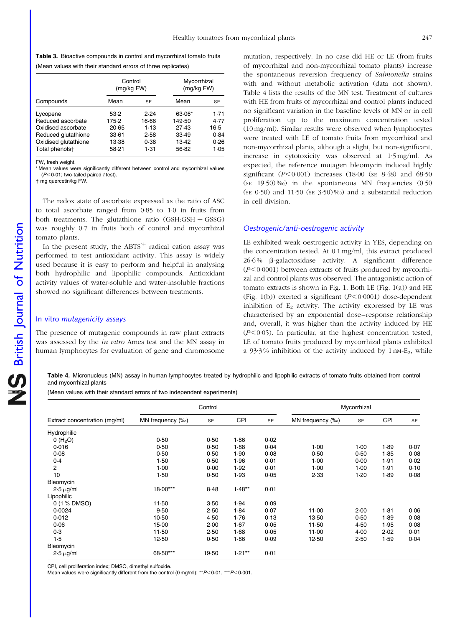<span id="page-6-0"></span>Table 3. Bioactive compounds in control and mycorrhizal tomato fruits (Mean values with their standard errors of three replicates)

|                      | Control<br>(mg/kg FW) |       | Mycorrhizal<br>(mg/kg FW) |           |  |
|----------------------|-----------------------|-------|---------------------------|-----------|--|
| Compounds            | Mean                  | SE    | Mean                      | <b>SE</b> |  |
| Lycopene             | 53.2                  | 2.24  | 63.06*                    | 1.71      |  |
| Reduced ascorbate    | 175.2                 | 16.66 | 149.50                    | 4.77      |  |
| Oxidised ascorbate   | 20.65                 | 1.13  | 27.43                     | 16.5      |  |
| Reduced glutathione  | 33.61                 | 2.58  | 33.49                     | 0.84      |  |
| Oxidised glutathione | 13.38                 | 0.38  | 13.42                     | 0.26      |  |
| Total phenolst       | 58-21                 | 1.31  | 56.82                     | 1.05      |  |

FW, fresh weight.

\* Mean values were significantly different between control and mycorrhizal values ( $P \le 0.01$ ; two-tailed paired t test).

† mg quercetin/kg FW.

The redox state of ascorbate expressed as the ratio of ASC to total ascorbate ranged from 0·85 to 1·0 in fruits from both treatments. The glutathione ratio  $(GSH:GSH + GSSG)$ was roughly 0·7 in fruits both of control and mycorrhizal tomato plants.

In the present study, the ABTS<sup> $+$ </sup> radical cation assay was performed to test antioxidant activity. This assay is widely used because it is easy to perform and helpful in analysing both hydrophilic and lipophilic compounds. Antioxidant activity values of water-soluble and water-insoluble fractions showed no significant differences between treatments.

# In vitro mutagenicity assays

The presence of mutagenic compounds in raw plant extracts was assessed by the *in vitro* Ames test and the MN assay in human lymphocytes for evaluation of gene and chromosome

mutation, respectively. In no case did HE or LE (from fruits of mycorrhizal and non-mycorrhizal tomato plants) increase the spontaneous reversion frequency of Salmonella strains with and without metabolic activation (data not shown). Table 4 lists the results of the MN test. Treatment of cultures with HE from fruits of mycorrhizal and control plants induced no significant variation in the baseline levels of MN or in cell proliferation up to the maximum concentration tested (10 mg/ml). Similar results were observed when lymphocytes were treated with LE of tomato fruits from mycorrhizal and non-mycorrhizal plants, although a slight, but non-significant, increase in cytotoxicity was observed at 1·5 mg/ml. As expected, the reference mutagen bleomycin induced highly significant ( $P < 0.001$ ) increases (18.00 (st 8.48) and 68.50 (SE 19·50) ‰) in the spontaneous MN frequencies (0·50 (SE  $0.50$ ) and  $11.50$  (SE  $3.50$ )%o) and a substantial reduction in cell division.

# Oestrogenic/anti-oestrogenic activity

LE exhibited weak oestrogenic activity in YES, depending on the concentration tested. At 0·1 mg/ml, this extract produced  $26.6\%$   $\beta$ -galactosidase activity. A significant difference  $(P<0.0001)$  between extracts of fruits produced by mycorrhizal and control plants was observed. The antagonistic action of tomato extracts is shown in [Fig. 1.](#page-7-0) Both LE [\(Fig. 1\(a\)\)](#page-7-0) and HE ([Fig. 1\(b\)\)](#page-7-0) exerted a significant  $(P<0.0001)$  dose-dependent inhibition of  $E_2$  activity. The activity expressed by LE was characterised by an exponential dose–response relationship and, overall, it was higher than the activity induced by HE  $(P<0.05)$ . In particular, at the highest concentration tested, LE of tomato fruits produced by mycorrhizal plants exhibited a 93.3% inhibition of the activity induced by  $1 \text{ nm-E}_2$ , while

Table 4. Micronucleus (MN) assay in human lymphocytes treated by hydrophilic and lipophilic extracts of tomato fruits obtained from control and mycorrhizal plants

(Mean values with their standard errors of two independent experiments)

|                               | Control          |           |            |      | Mycorrhizal      |           |        |           |
|-------------------------------|------------------|-----------|------------|------|------------------|-----------|--------|-----------|
| Extract concentration (mg/ml) | MN frequency (%) | <b>SE</b> | <b>CPI</b> | SE   | MN frequency (%) | <b>SE</b> | CPI    | <b>SE</b> |
| Hydrophilic                   |                  |           |            |      |                  |           |        |           |
| 0(H <sub>2</sub> O)           | 0.50             | 0.50      | 1.86       | 0.02 |                  |           |        |           |
| 0.016                         | 0.50             | 0.50      | 1.88       | 0.04 | $1-00$           | 1.00      | 1.89   | 0.07      |
| 0.08                          | 0.50             | 0.50      | 1.90       | 0.08 | 0.50             | 0.50      | 1.85   | 0.08      |
| 0.4                           | 1.50             | 0.50      | 1.96       | 0.01 | $1-00$           | 0.00      | 1.91   | 0.02      |
| 2                             | 1.00             | 0.00      | 1.92       | 0.01 | $1-00$           | 1.00      | 1.91   | 0.10      |
| 10                            | 1.50             | 0.50      | 1.93       | 0.05 | 2.33             | 1.20      | 1.89   | 0.08      |
| Bleomycin                     |                  |           |            |      |                  |           |        |           |
| $2.5 \mu g/ml$                | 18.00***         | 8.48      | $1.48**$   | 0.01 |                  |           |        |           |
| Lipophilic                    |                  |           |            |      |                  |           |        |           |
| 0 (1 % DMSO)                  | $11-50$          | 3.50      | 1.94       | 0.09 |                  |           |        |           |
| 0.0024                        | 9.50             | 2.50      | 1.84       | 0.07 | 11.00            | 2.00      | $1-81$ | 0.06      |
| 0.012                         | $10-50$          | 4.50      | 1.76       | 0.13 | $13-50$          | 0.50      | 1.89   | 0.08      |
| 0.06                          | 15.00            | 2.00      | 1.67       | 0.05 | 11.50            | 4.50      | 1.95   | 0.08      |
| 0.3                           | $11-50$          | 2.50      | 1.68       | 0.05 | 11.00            | $4-00$    | 2.02   | 0.01      |
| 1.5                           | $12-50$          | 0.50      | 1.86       | 0.09 | 12.50            | 2.50      | 1.59   | 0.04      |
| Bleomycin                     |                  |           |            |      |                  |           |        |           |
| $2.5 \mu g/ml$                | 68.50***         | 19.50     | $1.21**$   | 0.01 |                  |           |        |           |

CPI, cell proliferation index; DMSO, dimethyl sulfoxide.

Mean values were significantly different from the control (0 mg/ml): \*\* $P$  < 0.01, \*\* $P$  < 0.001.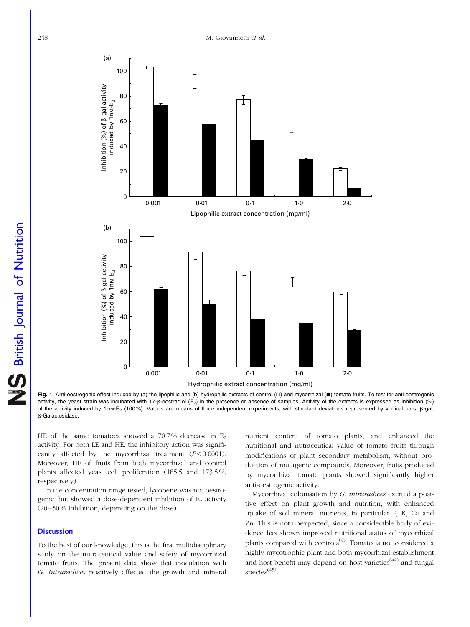<span id="page-7-0"></span>

**NS** British Journal of Nutrition British Journal of Nutrition

Fig. 1. Anti-oestrogenic effect induced by (a) the lipophilic and (b) hydrophilic extracts of control  $(\Box)$  and mycorrhizal  $(\blacksquare)$  tomato fruits. To test for anti-oestrogenic activity, the yeast strain was incubated with 17- $\beta$ -oestradiol (E<sub>2</sub>) in the presence or absence of samples. Activity of the extracts is expressed as inhibition (%) of the activity induced by 1 nM-E<sub>2</sub> (100%). Values are means of three independent experiments, with standard deviations represented by vertical bars. β-gal, b-Galactosidase.

HE of the same tomatoes showed a  $70.7\%$  decrease in E<sub>2</sub> activity. For both LE and HE, the inhibitory action was significantly affected by the mycorrhizal treatment  $(P<0.0001)$ . Moreover, HE of fruits from both mycorrhizal and control plants affected yeast cell proliferation (185·5 and 173·5 %, respectively).

In the concentration range tested, lycopene was not oestrogenic, but showed a dose-dependent inhibition of  $E<sub>2</sub>$  activity (20–50 % inhibition, depending on the dose).

# **Discussion**

To the best of our knowledge, this is the first multidisciplinary study on the nutraceutical value and safety of mycorrhizal tomato fruits. The present data show that inoculation with G. intraradices positively affected the growth and mineral

nutrient content of tomato plants, and enhanced the nutritional and nutraceutical value of tomato fruits through modifications of plant secondary metabolism, without production of mutagenic compounds. Moreover, fruits produced by mycorrhizal tomato plants showed significantly higher anti-oestrogenic activity.

Mycorrhizal colonisation by G. intraradices exerted a positive effect on plant growth and nutrition, with enhanced uptake of soil mineral nutrients, in particular P, K, Ca and Zn. This is not unexpected, since a considerable body of evidence has shown improved nutritional status of mycorrhizal plants compared with controls<sup>(9)</sup>. Tomato is not considered a highly mycotrophic plant and both mycorrhizal establishment and host benefit may depend on host varieties<sup> $(44)$ </sup> and fungal species $(45)$ .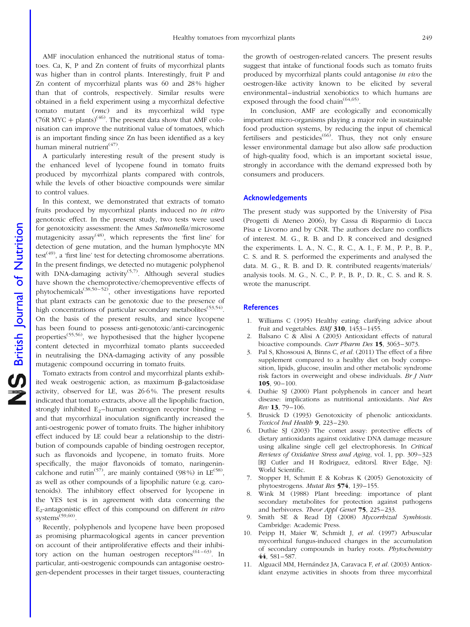AMF inoculation enhanced the nutritional status of tomatoes. Ca, K, P and Zn content of fruits of mycorrhizal plants was higher than in control plants. Interestingly, fruit P and Zn content of mycorrhizal plants was 60 and 28 % higher than that of controls, respectively. Similar results were obtained in a field experiment using a mycorrhizal defective tomato mutant (rmc) and its mycorrhizal wild type  $(76R MYC + plants)^{(46)}$ . The present data show that AMF colonisation can improve the nutritional value of tomatoes, which is an important finding since Zn has been identified as a key human mineral nutrient<sup>(47)</sup>.

A particularly interesting result of the present study is the enhanced level of lycopene found in tomato fruits produced by mycorrhizal plants compared with controls, while the levels of other bioactive compounds were similar to control values.

In this context, we demonstrated that extracts of tomato fruits produced by mycorrhizal plants induced no *in vitro* genotoxic effect. In the present study, two tests were used for genotoxicity assessment: the Ames Salmonella/microsome mutagenicity assay<sup>(48)</sup>, which represents the 'first line' for detection of gene mutation, and the human lymphocyte MN test<sup>(49)</sup>, a 'first line' test for detecting chromosome aberrations. In the present findings, we detected no mutagenic polyphenol with DNA-damaging activity<sup>(5,7)</sup>. Although several studies have shown the chemoprotective/chemopreventive effects of phytochemicals<sup>(38,50–52)</sup>, other investigations have reported that plant extracts can be genotoxic due to the presence of high concentrations of particular secondary metabolites<sup> $(53,54)$ </sup>. On the basis of the present results, and since lycopene has been found to possess anti-genotoxic/anti-carcinogenic properties<sup> $(55,56)$ </sup>, we hypothesised that the higher lycopene content detected in mycorrhizal tomato plants succeeded in neutralising the DNA-damaging activity of any possible mutagenic compound occurring in tomato fruits.

Tomato extracts from control and mycorrhizal plants exhibited weak oestrogenic action, as maximum  $\beta$ -galactosidase activity, observed for LE, was 26·6 %. The present results indicated that tomato extracts, above all the lipophilic fraction, strongly inhibited  $E_2$ -human oestrogen receptor binding – and that mycorrhizal inoculation significantly increased the anti-oestrogenic power of tomato fruits. The higher inhibitory effect induced by LE could bear a relationship to the distribution of compounds capable of binding oestrogen receptor, such as flavonoids and lycopene, in tomato fruits. More specifically, the major flavonoids of tomato, naringenincalchone and rutin<sup>(57)</sup>, are mainly contained (98%) in  $LE^{(58)}$ , as well as other compounds of a lipophilic nature (e.g. carotenoids). The inhibitory effect observed for lycopene in the YES test is in agreement with data concerning the E<sub>2</sub>-antagonistic effect of this compound on different *in vitro* systems<sup>(59,60)</sup>.

Recently, polyphenols and lycopene have been proposed as promising pharmacological agents in cancer prevention on account of their antiproliferative effects and their inhibitory action on the human oestrogen receptors  $(61-63)$ . In particular, anti-oestrogenic compounds can antagonise oestrogen-dependent processes in their target tissues, counteracting

the growth of oestrogen-related cancers. The present results suggest that intake of functional foods such as tomato fruits produced by mycorrhizal plants could antagonise in vivo the oestrogen-like activity known to be elicited by several environmental–industrial xenobiotics to which humans are exposed through the food chain<sup> $(64,65)$ </sup>.

In conclusion, AMF are ecologically and economically important micro-organisms playing a major role in sustainable food production systems, by reducing the input of chemical fertilisers and pesticides<sup> $(66)$ </sup>. Thus, they not only ensure lesser environmental damage but also allow safe production of high-quality food, which is an important societal issue, strongly in accordance with the demand expressed both by consumers and producers.

### Acknowledgements

The present study was supported by the University of Pisa (Progetti di Ateneo 2006), by Cassa di Risparmio di Lucca Pisa e Livorno and by CNR. The authors declare no conflicts of interest. M. G., R. B. and D. R conceived and designed the experiments. L. A., N. C., R. C., A. I., F. M., P. P., B. P., C. S. and R. S. performed the experiments and analysed the data. M. G., R. B. and D. R. contributed reagents/materials/ analysis tools. M. G., N. C., P. P., B. P., D. R., C. S. and R. S. wrote the manuscript.

## **References**

- 1. Williams C (1995) Healthy eating: clarifying advice about fruit and vegetables.  $BMJ$  310,  $1453-1455$ .
- 2. Balsano C & Alisi A (2003) Antioxidant effects of natural bioactive compounds. Curr Pharm Des 15, 3063–3073.
- 3. Pal S, Khossousi A, Binns C, et al. (2011) The effect of a fibre supplement compared to a healthy diet on body composition, lipids, glucose, insulin and other metabolic syndrome risk factors in overweight and obese individuals. Br J Nutr 105, 90–100.
- 4. Duthie SJ (2000) Plant polyphenols in cancer and heart disease: implications as nutritional antioxidants. Nut Res Rev 13, 79–106.
- 5. Brusick D (1993) Genotoxicity of phenolic antioxidants. Toxicol Ind Health 9, 223–230.
- 6. Duthie SJ (2003) The comet assay: protective effects of dietary antioxidants against oxidative DNA damage measure using alkaline single cell gel electrophoresis. In Critical Reviews of Oxidative Stress and Aging, vol. 1, pp. 309–323 [RJ Cutler and H Rodriguez, editors]. River Edge, NJ: World Scientific.
- 7. Stopper H, Schmitt E & Kobras K (2005) Genotoxicity of phytoestrogens. Mutat Res 574, 139–155.
- 8. Wink M (1988) Plant breeding: importance of plant secondary metabolites for protection against pathogens and herbivores. Theor Appl Genet 75, 225–233.
- 9. Smith SE & Read DJ (2008) Mycorrhizal Symbiosis. Cambridge: Academic Press.
- 10. Peipp H, Maier W, Schmidt J, et al. (1997) Arbuscular mycorrhizal fungus-induced changes in the accumulation of secondary compounds in barley roots. Phytochemistry 44, 581–587.
- 11. Alguacil MM, Hernández JA, Caravaca F, et al. (2003) Antioxidant enzyme activities in shoots from three mycorrhizal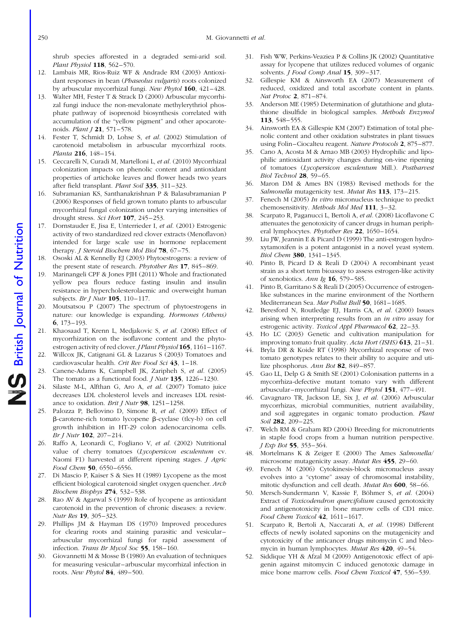shrub species afforested in a degraded semi-arid soil. Plant Physiol 118, 562–570.

- 12. Lambais MR, Rios-Ruiz WF & Andrade RM (2003) Antioxidant responses in bean (Phaseolus vulgaris) roots colonized by arbuscular mycorrhizal fungi. New Phytol 160, 421–428.
- 13. Walter MH, Fester T & Strack D (2000) Arbuscular mycorrhizal fungi induce the non-mevalonate methylerythriol phosphate pathway of isoprenoid biosynthesis correlated with accumulation of the "yellow pigment" and other apocarotenoids. Plant J 21, 571-578.
- 14. Fester T, Schmidt D, Lohse S, et al. (2002) Stimulation of carotenoid metabolism in arbuscular mycorrhizal roots. Planta 216, 148–154.
- 15. Ceccarelli N, Curadi M, Martelloni L, et al. (2010) Mycorrhizal colonization impacts on phenolic content and antioxidant properties of artichoke leaves and flower heads two years after field transplant. Plant Soil 335, 311–323.
- 16. Subramanian KS, Santhanakrishnan P & Balasubramanian P (2006) Responses of field grown tomato plants to arbuscular mycorrhizal fungal colonization under varying intensities of drought stress. Sci Hort 107, 245-253.
- 17. Dornstauder E, Jisa E, Unterrieder I, et al. (2001) Estrogenic activity of two standardized red clover extracts (Menoflavon) intended for large scale use in hormone replacement therapy. *J Steroid Biochem Mol Biol* **78**, 67–75.
- 18. Ososki AL & Kennelly EJ (2003) Phytoestrogens: a review of the present state of research. Phytother Res 17, 845–869.
- 19. Marinangeli CPF & Jones PJH (2011) Whole and fractionated yellow pea flours reduce fasting insulin and insulin resistance in hypercholesterolaemic and overweight human subjects. Br J Nutr **105**, 110-117.
- 20. Moutsatsou P (2007) The spectrum of phytoestrogens in nature: our knowledge is expanding. Hormones (Athens) 6, 173–193.
- 21. Khaosaad T, Krenn L, Medjakovic S, et al. (2008) Effect of mycorrhization on the isoflavone content and the phytoestrogen activity of red clover. *J Plant Physiol* **165**, 1161–1167.
- 22. Willcox JK, Catignani GL & Lazarus S (2003) Tomatoes and cardiovascular health. Crit Rev Food Sci 43, 1–18.
- 23. Canene-Adams K, Campbell JK, Zaripheh S, et al. (2005) The tomato as a functional food. *J Nutr* 135, 1226–1230.
- 24. Silaste M-L, Alfthan G, Aro A, et al. (2007) Tomato juice decreases LDL cholesterol levels and increases LDL resistance to oxidation. Brit J Nutr 98, 1251–1258.
- 25. Palozza P, Bellovino D, Simone R, et al. (2009) Effect of  $\beta$ -carotene-rich tomato lycopene  $\beta$ -cyclase (tlcy-b) on cell growth inhibition in HT-29 colon adenocarcinoma cells. Br J Nutr 102, 207–214.
- 26. Raffo A, Leonardi C, Fogliano V, et al. (2002) Nutritional value of cherry tomatoes (Lycopersicon esculentum cv. Naomi F1) harvested at different ripening stages. *J Agric* Food Chem 50, 6550-6556.
- 27. Di Mascio P, Kaiser S & Sies H (1989) Lycopene as the most efficient biological carotenoid singlet oxygen quencher. Arch Biochem Biophys 274, 532–538.
- 28. Rao AV & Agarwal S (1999) Role of lycopene as antioxidant carotenoid in the prevention of chronic diseases: a review. Nutr Res 19, 305–323.
- 29. Phillips JM & Hayman DS (1970) Improved procedures for clearing roots and staining parasitic and vesicular– arbuscular mycorrhizal fungi for rapid assessment of infection. Trans Br Mycol Soc 55, 158–160.
- 30. Giovannetti M & Mosse B (1980) An evaluation of techniques for measuring vesicular–arbuscular mycorrhizal infection in roots. New Phytol 84, 489–500.
- 31. Fish WW, Perkins-Veaziea P & Collins JK (2002) Quantitative assay for lycopene that utilizes reduced volumes of organic solvents. *J Food Comp Anal* **15**, 309–317.
- 32. Gillespie KM & Ainsworth EA (2007) Measurement of reduced, oxidized and total ascorbate content in plants. Nat Protoc 2, 871–874.
- 33. Anderson ME (1985) Determination of glutathione and glutathione disulfide in biological samples. Methods Enzymol 113, 548–555.
- 34. Ainsworth EA & Gillespie KM (2007) Estimation of total phenolic content and other oxidation substrates in plant tissues using Folin–Ciocalteu reagent. Nature Protocols 2, 875–877.
- 35. Cano A, Acosta M & Arnao MB (2003) Hydrophilic and lipophilic antioxidant activity changes during on-vine ripening of tomatoes (Lycopersicon esculentum Mill.). Postharvest Biol Technol 28, 59–65.
- 36. Maron DM & Ames BN (1983) Revised methods for the Salmonella mutagenicity test. Mutat Res 113, 173-215.
- 37. Fenech M (2005) In vitro micronucleus technique to predict chemosensitivity. Methods Mol Med 111, 3–32.
- 38. Scarpato R, Paganucci L, Bertoli A, et al. (2008) Licoflavone C attenuates the genotoxicity of cancer drugs in human peripheral lymphocytes. Phytother Res 22, 1650–1654.
- 39. Liu JW, Jeannin E & Picard D (1999) The anti-estrogen hydroxytamoxifen is a potent antagonist in a novel yeast system. Biol Chem 380, 1341–1345.
- 40. Pinto B, Picard D & Reali D (2004) A recombinant yeast strain as a short term bioassay to assess estrogen-like activity of xenobiotics. Ann Ig  $16$ , 579–585.
- 41. Pinto B, Garritano S & Reali D (2005) Occurrence of estrogenlike substances in the marine environment of the Northern Mediterranean Sea. Mar Pollut Bull 50, 1681–1685.
- 42. Beresford N, Routledge EJ, Harris CA, et al. (2000) Issues arising when interpreting results from an in vitro assay for estrogenic activity. Toxicol Appl Pharmacol 62, 22–33.
- 43. Ho LC (2003) Genetic and cultivation manipulation for improving tomato fruit quality. Acta Hort (ISHS) 613, 21–31.
- 44. Bryla DR & Koide RT (1998) Mycorrhizal response of two tomato genotypes relates to their ability to acquire and utilize phosphorus. Ann Bot 82, 849–857.
- 45. Gao LL, Delp G & Smith SE (2001) Colonisation patterns in a mycorrhiza-defective mutant tomato vary with different arbuscular–mycorrhizal fungi. New Phytol 151, 477–491.
- 46. Cavagnaro TR, Jackson LE, Six J, et al. (2006) Arbuscular mycorrhizas, microbial communities, nutrient availability, and soil aggregates in organic tomato production. Plant Soil 282, 209-225.
- 47. Welch RM & Graham RD (2004) Breeding for micronutrients in staple food crops from a human nutrition perspective. J Exp Bot 55, 353–364.
- 48. Mortelmans K & Zeiger E (2000) The Ames Salmonella/ microsome mutagenicity assay. Mutat Res 455, 29–60.
- 49. Fenech M (2006) Cytokinesis-block micronucleus assay evolves into a "cytome" assay of chromosomal instability, mitotic dysfunction and cell death. Mutat Res 600, 58–66.
- 50. Mersch-Sundermann V, Kassie F, Böhmer S, et al. (2004) Extract of Toxicodendron quercifolium caused genotoxicity and antigenotoxicity in bone marrow cells of CD1 mice. Food Chem Toxicol 42, 1611–1617.
- 51. Scarpato R, Bertoli A, Naccarati A, et al. (1998) Different effects of newly isolated saponins on the mutagenicity and cytotoxicity of the anticancer drugs mitomycin C and bleomycin in human lymphocytes. Mutat Res 420, 49–54.
- 52. Siddique YH & Afzal M (2009) Antigenotoxic effect of apigenin against mitomycin C induced genotoxic damage in mice bone marrow cells. Food Chem Toxicol 47, 536–539.